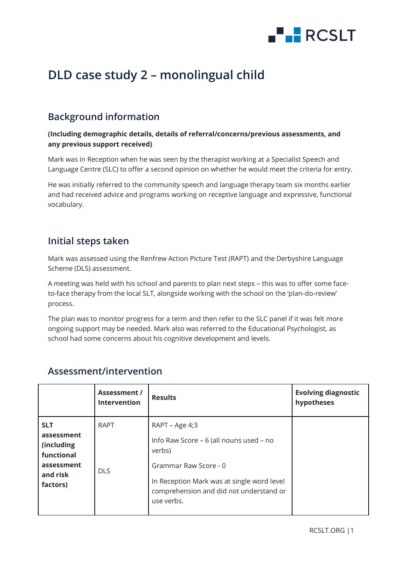

# **DLD case study 2 – monolingual child**

# **Background information**

#### **(Including demographic details, details of referral/concerns/previous assessments, and any previous support received)**

Mark was in Reception when he was seen by the therapist working at a Specialist Speech and Language Centre (SLC) to offer a second opinion on whether he would meet the criteria for entry.

He was initially referred to the community speech and language therapy team six months earlier and had received advice and programs working on receptive language and expressive, functional vocabulary.

### **Initial steps taken**

Mark was assessed using the Renfrew Action Picture Test (RAPT) and the Derbyshire Language Scheme (DLS) assessment.

A meeting was held with his school and parents to plan next steps – this was to offer some faceto-face therapy from the local SLT, alongside working with the school on the 'plan-do-review' process.

The plan was to monitor progress for a term and then refer to the SLC panel if it was felt more ongoing support may be needed. Mark also was referred to the Educational Psychologist, as school had some concerns about his cognitive development and levels.

|                                                                                            | Assessment /<br><b>Intervention</b> | <b>Results</b>                                                                                                                                                                                      | <b>Evolving diagnostic</b><br>hypotheses |
|--------------------------------------------------------------------------------------------|-------------------------------------|-----------------------------------------------------------------------------------------------------------------------------------------------------------------------------------------------------|------------------------------------------|
| <b>SLT</b><br>assessment<br>(including<br>functional<br>assessment<br>and risk<br>factors) | <b>RAPT</b><br><b>DLS</b>           | RAPT - Age 4;3<br>Info Raw Score - 6 (all nouns used - no<br>verbs)<br>Grammar Raw Score - 0<br>In Reception Mark was at single word level<br>comprehension and did not understand or<br>use verbs. |                                          |

## **Assessment/intervention**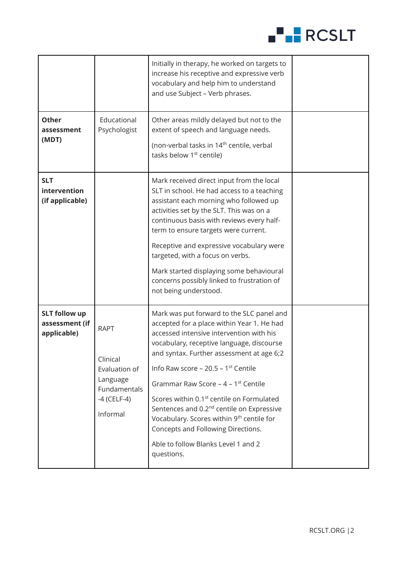

|                                                       |                                                                                                   | Initially in therapy, he worked on targets to<br>increase his receptive and expressive verb<br>vocabulary and help him to understand<br>and use Subject - Verb phrases.                                                                                                                                                                                                                                                                                                                                                                                                                           |  |
|-------------------------------------------------------|---------------------------------------------------------------------------------------------------|---------------------------------------------------------------------------------------------------------------------------------------------------------------------------------------------------------------------------------------------------------------------------------------------------------------------------------------------------------------------------------------------------------------------------------------------------------------------------------------------------------------------------------------------------------------------------------------------------|--|
| <b>Other</b><br>assessment<br>(MDT)                   | Educational<br>Psychologist                                                                       | Other areas mildly delayed but not to the<br>extent of speech and language needs.<br>(non-verbal tasks in 14 <sup>th</sup> centile, verbal<br>tasks below 1 <sup>st</sup> centile)                                                                                                                                                                                                                                                                                                                                                                                                                |  |
| <b>SLT</b><br>intervention<br>(if applicable)         |                                                                                                   | Mark received direct input from the local<br>SLT in school. He had access to a teaching<br>assistant each morning who followed up<br>activities set by the SLT. This was on a<br>continuous basis with reviews every half-<br>term to ensure targets were current.<br>Receptive and expressive vocabulary were<br>targeted, with a focus on verbs.<br>Mark started displaying some behavioural<br>concerns possibly linked to frustration of<br>not being understood.                                                                                                                             |  |
| <b>SLT follow up</b><br>assessment (if<br>applicable) | <b>RAPT</b><br>Clinical<br>Evaluation of<br>Language<br>Fundamentals<br>$-4$ (CELF-4)<br>Informal | Mark was put forward to the SLC panel and<br>accepted for a place within Year 1. He had<br>accessed intensive intervention with his<br>vocabulary, receptive language, discourse<br>and syntax. Further assessment at age 6;2<br>Info Raw score – 20.5 – $1st$ Centile<br>Grammar Raw Score – $4 - 1$ <sup>st</sup> Centile<br>Scores within 0.1 <sup>st</sup> centile on Formulated<br>Sentences and 0.2 <sup>nd</sup> centile on Expressive<br>Vocabulary. Scores within 9 <sup>th</sup> centile for<br>Concepts and Following Directions.<br>Able to follow Blanks Level 1 and 2<br>questions. |  |